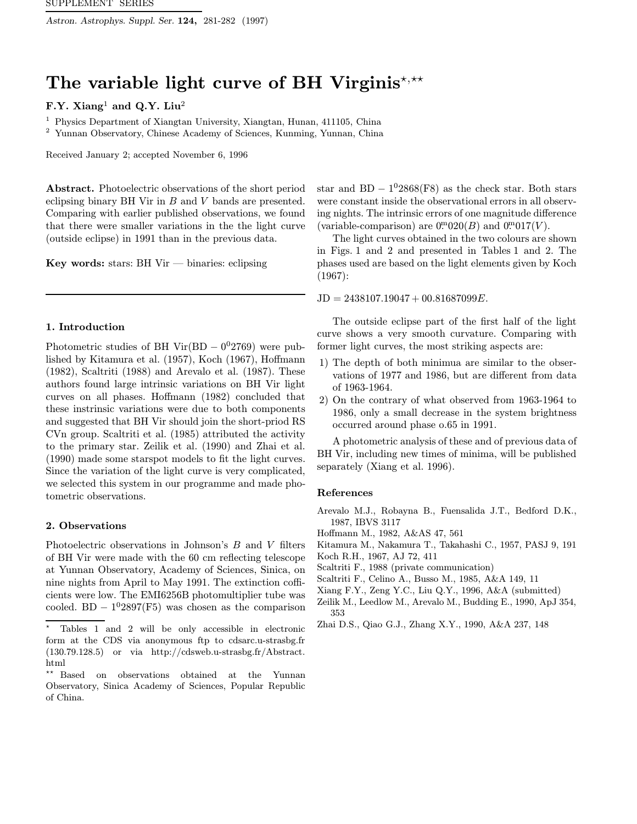## The variable light curve of BH Virginis<sup> $\star, \star\star$ </sup>

F.Y. Xiang<sup>1</sup> and Q.Y. Liu<sup>2</sup>

<sup>1</sup> Physics Department of Xiangtan University, Xiangtan, Hunan, 411105, China

<sup>2</sup> Yunnan Observatory, Chinese Academy of Sciences, Kunming, Yunnan, China

Received January 2; accepted November 6, 1996

Abstract. Photoelectric observations of the short period eclipsing binary BH Vir in B and V bands are presented. Comparing with earlier published observations, we found that there were smaller variations in the the light curve (outside eclipse) in 1991 than in the previous data.

Key words: stars: BH Vir  $-$  binaries: eclipsing

## 1. Introduction

Photometric studies of BH Vir(BD  $-0^02769$ ) were published by Kitamura et al. (1957), Koch (1967), Hoffmann (1982), Scaltriti (1988) and Arevalo et al. (1987). These authors found large intrinsic variations on BH Vir light curves on all phases. Hoffmann (1982) concluded that these instrinsic variations were due to both components and suggested that BH Vir should join the short-priod RS CVn group. Scaltriti et al. (1985) attributed the activity to the primary star. Zeilik et al. (1990) and Zhai et al. (1990) made some starspot models to fit the light curves. Since the variation of the light curve is very complicated, we selected this system in our programme and made photometric observations.

## 2. Observations

Photoelectric observations in Johnson's B and V filters of BH Vir were made with the 60 cm reflecting telescope at Yunnan Observatory, Academy of Sciences, Sinica, on nine nights from April to May 1991. The extinction cofficients were low. The EMI6256B photomultiplier tube was cooled. BD  $-1^{0}2897(F5)$  was chosen as the comparison star and BD  $-1^{0}2868$ (F8) as the check star. Both stars were constant inside the observational errors in all observing nights. The intrinsic errors of one magnitude difference (variable-comparison) are  $0^{m}020(B)$  and  $0^{m}017(V)$ .

The light curves obtained in the two colours are shown in Figs. 1 and 2 and presented in Tables 1 and 2. The phases used are based on the light elements given by Koch (1967):

 $JD = 2438107.19047 + 00.81687099E.$ 

The outside eclipse part of the first half of the light curve shows a very smooth curvature. Comparing with former light curves, the most striking aspects are:

- 1) The depth of both minimua are similar to the observations of 1977 and 1986, but are different from data of 1963-1964.
- 2) On the contrary of what observed from 1963-1964 to 1986, only a small decrease in the system brightness occurred around phase o.65 in 1991.

A photometric analysis of these and of previous data of BH Vir, including new times of minima, will be published separately (Xiang et al. 1996).

## References

- Arevalo M.J., Robayna B., Fuensalida J.T., Bedford D.K., 1987, IBVS 3117
- Hoffmann M., 1982, A&AS 47, 561
- Kitamura M., Nakamura T., Takahashi C., 1957, PASJ 9, 191
- Koch R.H., 1967, AJ 72, 411
- Scaltriti F., 1988 (private communication)
- Scaltriti F., Celino A., Busso M., 1985, A&A 149, 11
- Xiang F.Y., Zeng Y.C., Liu Q.Y., 1996, A&A (submitted)
- Zeilik M., Leedlow M., Arevalo M., Budding E., 1990, ApJ 354, 353
- Zhai D.S., Qiao G.J., Zhang X.Y., 1990, A&A 237, 148

<sup>?</sup> Tables 1 and 2 will be only accessible in electronic form at the CDS via anonymous ftp to cdsarc.u-strasbg.fr (130.79.128.5) or via http://cdsweb.u-strasbg.fr/Abstract. html

<sup>\*\*</sup> Based on observations obtained at the Yunnan Observatory, Sinica Academy of Sciences, Popular Republic of China.